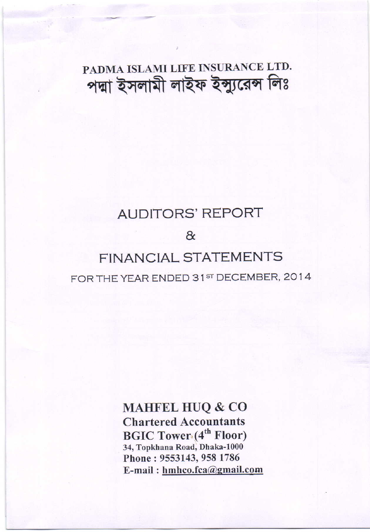PADMA ISLAMI LIFE INSURANCE LTD. পদ্মা ইসলামী লাইফ ইন্সুরেেন্স লিঃ

# AUDITORS'REPORT

&

# FINANCIAL STATEMENTS FOR THE YEAR ENDED 31st DECEMBER, 2014

MAHFEL HUQ & CO Chartered Accountants BGIC Tower (4<sup>th</sup> Floor) 34, Topkhana Road, Dhaka-1000 Phone: 9553143, 958 1786 E-mail : hmhco.fca@qmail.com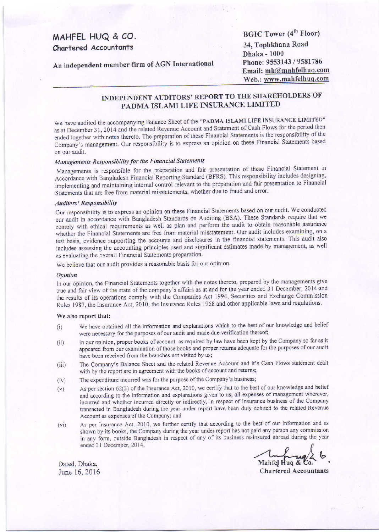## MAHFEL HUQ & CO. Chartered Accountants

An independent member firm of AGN International

**BGIC Tower (4<sup>th</sup> Floor)** 34, Tophkhana Road **Dhaka - 1000** Phone: 9553143 / 9581786 Email: mh@mahfelhuq.com Web.: www.mahfelhuq.com

### INDEPENDENT AUDITORS' REPORT TO THE SHAREHOLDERS OF PADMA ISLAMI LIFE INSURANCE LIMITED

We have audited the accompanying Balance Sheet of the "PADMA ISLAMI LIFE INSURANCE LIMITED" as at December 31, 2014 and the related Revenue Account and Statement of Cash Flows for the period then ended together with notes thereto. The preparation of these Financial Statements is the responsibility of the Company's management. Our responsibility is to express an opinion on these Financial Statements based on our audit.

### Managements Responsibility for the Financial Statements

Managements is responsible for the preparation and fair presentation of these Financial Statement in Accordance with Bangladesh Financial Reporting Standard (BFRS). This responsibility includes designing, implementing and maintaining internal control relevant to the preparation and fair presentation to Financial Statements that are free from material misstatements, whether due to fraud and error.

#### **Auditors' Responsibility**

Our responsibility is to express an opinion on these Financial Statements based on our audit. We conducted our audit in accordance with Bangladesh Standards on Auditing (BSA). These Standards require that we comply with ethical requirements as well as plan and perform the audit to obtain reasonable assurance whether the Financial Statements are free from material misstatement. Our audit includes examining, on a test basis, evidence supporting the accounts and disclosures in the financial statements. This audit also includes assessing the accounting principles used and significant estimates made by management, as well as evaluating the overall Financial Statements preparation.

We believe that our audit provides a reasonable basis for our opinion.

#### Opinion

In our opinion, the Financial Statements together with the notes thereto, prepared by the managements give true and fair view of the state of the company's affairs as at and for the year ended 31 December, 2014 and the results of its operations comply with the Companies Act 1994, Securities and Exchange Commission Rules 1987, the Insurance Act, 2010, the Insurance Rules 1958 and other applicable laws and regulations.

#### We also report that:

- We have obtained all the information and explanations which to the best of our knowledge and belief  $(i)$ were necessary for the purposes of our audit and made due verification thereof;
- In our opinion, proper books of account as required by law have been kept by the Company so far as it  $(ii)$ appeared from our examination of those books and proper returns adequate for the purposes of our audit have been received from the branches not visited by us;
- The Company's Balance Sheet and the related Revenue Account and it's Cash Flows statement dealt  $(iii)$ with by the report are in agreement with the books of account and returns;
- $(iv)$ The expenditure incurred was for the purpose of the Company's business;
- As per section 62(2) of the Insurance Act, 2010, we certify that to the best of our knowledge and belief  $(v)$ and according to the information and explanations given to us, all expenses of management wherever, incurred and whether incurred directly or indirectly, in respect of Insurance business of the Company transacted in Bangladesh during the year under report have been duly debited to the related Revenue Account as expenses of the Company; and
- As per Insurance Act, 2010, we further certify that according to the best of our information and as  $(vi)$ shown by its books, the Company during the year under report has not paid any person any commission in any form, outside Bangladesh in respect of any of its business re-insured abroad during the year ended 31 December, 2014.

Mahfel Hug & Co.

**Chartered Accountants** 

Dated, Dhaka, June 16, 2016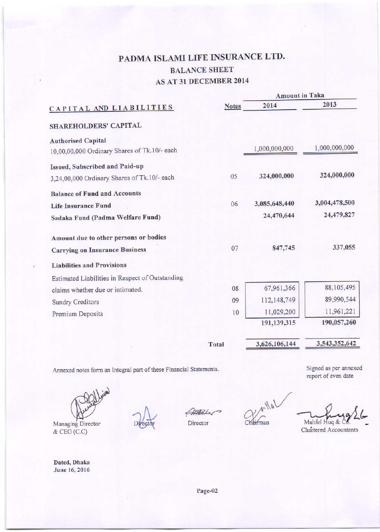# PADMA ISLAMI LIFE INSURANCE LTD. **BALANCE SHEET** AS AT 31 DECEMBER 2014

|                                                 |              | <b>Amount in Taka</b> |               |
|-------------------------------------------------|--------------|-----------------------|---------------|
| CAPITAL AND LIABILITIES                         | <b>Notes</b> | 2014                  | 2013          |
| SHAREHOLDERS' CAPITAL                           |              |                       |               |
| <b>Authorised Capital</b>                       |              |                       |               |
| 10,00,00,000 Ordinary Shares of Tk.10/- each    |              | 1,000,000,000         | 1,000,000,000 |
| Issued, Subscribed and Paid-up                  |              |                       |               |
| 3,24,00,000 Ordinary Shares of Tk.10/- each     | 05           | 324,000,000           | 324,000,000   |
| <b>Balance of Fund and Accounts</b>             |              |                       |               |
| <b>Life Insurance Fund</b>                      | 06           | 3,085,648,440         | 3,004,478,500 |
| Sadaka Fund (Padma Welfare Fund)                |              | 24,470,644            | 24,479,827    |
| Amount due to other persons or bodies           |              |                       |               |
| <b>Carrying on Insurance Business</b>           | 07           | 847,745               | 337,055       |
| <b>Liabilities and Provisions</b>               |              |                       |               |
| Estimated Liabilities in Respect of Outstanding |              |                       |               |
| claims whether due or intimated.                | 08           | 67,961,366            | 88,105,495    |
| <b>Sundry Creditors</b>                         | 09           | 112,148,749           | 89,990,544    |
| Premium Deposits                                | 10           | 11,029,200            | 11,961,221    |
|                                                 |              | 191,139,315           | 190,057,260   |
|                                                 | Total        | 3,626,106,144         | 3,543,352,642 |
|                                                 |              |                       |               |

Annexed notes form an Integral part of these Financial Statements.

Managing Director & CEO (C.C)

Dated, Dhaka June 16, 2016

Director

 $V$ lal Chairman

Mahfel Huq &

Signed as per annexed

report of even date

Chartered Accountants

Page-02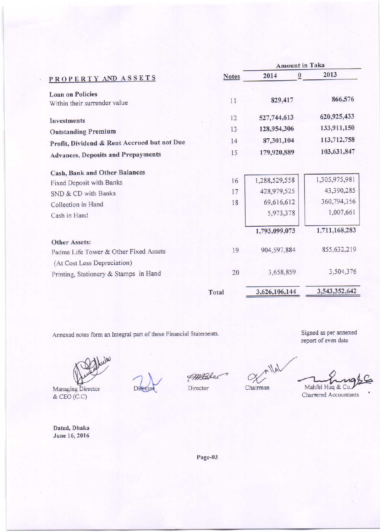|                                                         |              | <b>Amount in Taka</b> |          |               |
|---------------------------------------------------------|--------------|-----------------------|----------|---------------|
| PROPERTY AND ASSETS                                     | <b>Notes</b> | 2014                  | $\bf{0}$ | 2013          |
| <b>Loan on Policies</b><br>Within their surrender value | 11           | 829,417               |          | 866,576       |
| Investments                                             | 12           | 527,744,613           |          | 620,925,433   |
| <b>Outstanding Premium</b>                              | 13           | 128,954,306           |          | 133,911,150   |
| Profit, Dividend & Rent Accrued but not Due             | 14           | 87,301,104            |          | 113,712,758   |
| <b>Advances, Deposits and Prepayments</b>               | 15           | 179,920,889           |          | 103,631,847   |
| Cash, Bank and Other Balances                           |              |                       |          |               |
| Fixed Deposit with Banks                                | 16           | 1,288,529,558         |          | 1,305,975,981 |
| SND & CD with Banks                                     | 17           | 428,979,525           |          | 43,390,285    |
| Collection in Hand                                      | 18           | 69,616,612            |          | 360,794,356   |
| Cash in Hand                                            |              | 5,973,378             |          | 1,007,661     |
|                                                         |              | 1,793,099,073         |          | 1,711,168,283 |
| <b>Other Assets:</b>                                    |              |                       |          |               |
| Padma Life Tower & Other Fixed Assets                   | 19           | 904.597.884           |          | 855,632,219   |
| (At Cost Less Depreciation)                             |              |                       |          |               |
| Printing, Stationery & Stamps in Hand                   | 20           | 3,658,859             |          | 3,504,376     |
|                                                         | Total        | 3,626,106,144         |          | 3,543,352,642 |

Annexed notes form an Integral part of these Financial Statements.

 $w'$ 

Managing Director & CEO (C.C)

Dated, Dhaka June 16, 2016

Di

PARTakes

Director

 $r$ llal  $\alpha$ 

Chairman

Signed as per annexed report of even date

Mahfel Huq & Co.

Chartered Accountants

Page-03